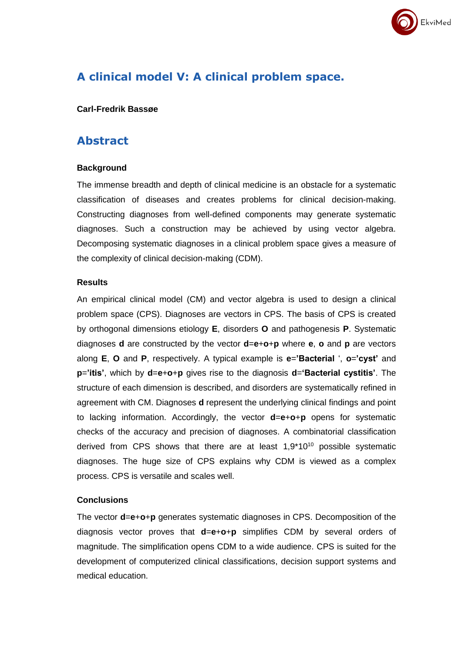

# **A clinical model V: A clinical problem space.**

### **Carl-Fredrik Bassøe**

## **Abstract**

### **Background**

The immense breadth and depth of clinical medicine is an obstacle for a systematic classification of diseases and creates problems for clinical decision-making. Constructing diagnoses from well-defined components may generate systematic diagnoses. Such a construction may be achieved by using vector algebra. Decomposing systematic diagnoses in a clinical problem space gives a measure of the complexity of clinical decision-making (CDM).

### **Results**

An empirical clinical model (CM) and vector algebra is used to design a clinical problem space (CPS). Diagnoses are vectors in CPS. The basis of CPS is created by orthogonal dimensions etiology **E**, disorders **O** and pathogenesis **P**. Systematic diagnoses **d** are constructed by the vector **d**=**e**+**o**+**p** where **e**, **o** and **p** are vectors along **E**, **O** and **P**, respectively. A typical example is **e**=**'Bacterial** ', **o**=**'cyst'** and **p**=**'itis'**, which by **d**=**e**+**o**+**p** gives rise to the diagnosis **d**=**'Bacterial cystitis'**. The structure of each dimension is described, and disorders are systematically refined in agreement with CM. Diagnoses **d** represent the underlying clinical findings and point to lacking information. Accordingly, the vector **d**=**e**+**o**+**p** opens for systematic checks of the accuracy and precision of diagnoses. A combinatorial classification derived from CPS shows that there are at least  $1.9*10^{10}$  possible systematic diagnoses. The huge size of CPS explains why CDM is viewed as a complex process. CPS is versatile and scales well.

### **Conclusions**

The vector **d**=**e**+**o**+**p** generates systematic diagnoses in CPS. Decomposition of the diagnosis vector proves that **d**=**e**+**o**+**p** simplifies CDM by several orders of magnitude. The simplification opens CDM to a wide audience. CPS is suited for the development of computerized clinical classifications, decision support systems and medical education.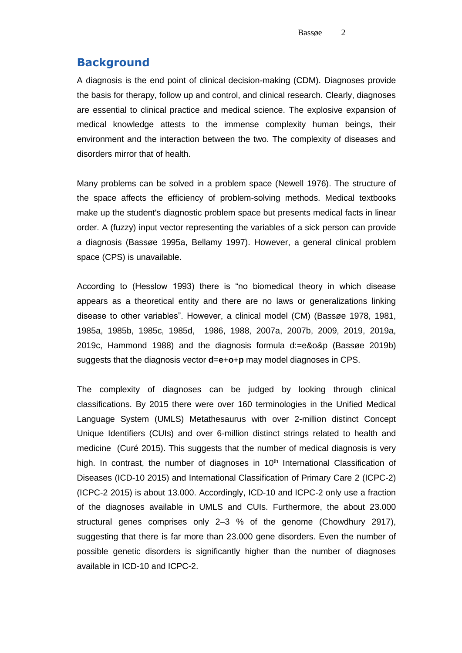## **Background**

A diagnosis is the end point of clinical decision-making (CDM). Diagnoses provide the basis for therapy, follow up and control, and clinical research. Clearly, diagnoses are essential to clinical practice and medical science. The explosive expansion of medical knowledge attests to the immense complexity human beings, their environment and the interaction between the two. The complexity of diseases and disorders mirror that of health.

Many problems can be solved in a problem space (Newell 1976). The structure of the space affects the efficiency of problem-solving methods. Medical textbooks make up the student's diagnostic problem space but presents medical facts in linear order. A (fuzzy) input vector representing the variables of a sick person can provide a diagnosis (Bassøe 1995a, Bellamy 1997). However, a general clinical problem space (CPS) is unavailable.

According to (Hesslow 1993) there is "no biomedical theory in which disease appears as a theoretical entity and there are no laws or generalizations linking disease to other variables". However, a clinical model (CM) (Bassøe 1978, 1981, 1985a, 1985b, 1985c, 1985d, 1986, 1988, 2007a, 2007b, 2009, 2019, 2019a, 2019c, Hammond 1988) and the diagnosis formula d:=e&o&p (Bassøe 2019b) suggests that the diagnosis vector **d**=**e**+**o**+**p** may model diagnoses in CPS.

The complexity of diagnoses can be judged by looking through clinical classifications. By 2015 there were over 160 terminologies in the Unified Medical Language System (UMLS) Metathesaurus with over 2-million distinct Concept Unique Identifiers (CUIs) and over 6-million distinct strings related to health and medicine (Curé 2015). This suggests that the number of medical diagnosis is very high. In contrast, the number of diagnoses in  $10<sup>th</sup>$  International Classification of Diseases (ICD-10 2015) and International Classification of Primary Care 2 (ICPC-2) (ICPC-2 2015) is about 13.000. Accordingly, ICD-10 and ICPC-2 only use a fraction of the diagnoses available in UMLS and CUIs. Furthermore, the about 23.000 structural genes comprises only 2–3 % of the genome (Chowdhury 2917), suggesting that there is far more than 23.000 gene disorders. Even the number of possible genetic disorders is significantly higher than the number of diagnoses available in ICD-10 and ICPC-2.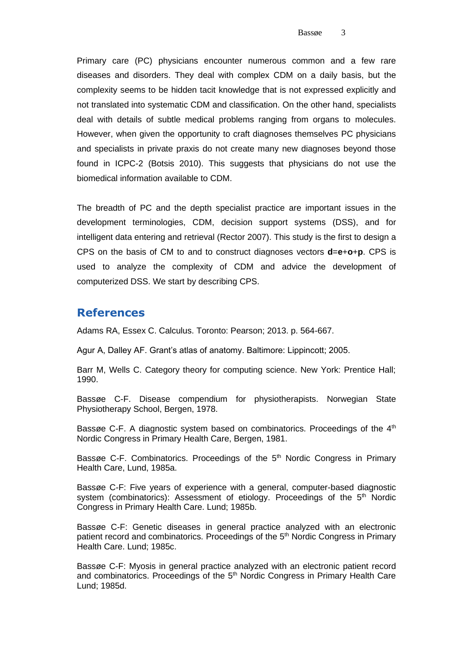Primary care (PC) physicians encounter numerous common and a few rare diseases and disorders. They deal with complex CDM on a daily basis, but the complexity seems to be hidden tacit knowledge that is not expressed explicitly and not translated into systematic CDM and classification. On the other hand, specialists deal with details of subtle medical problems ranging from organs to molecules. However, when given the opportunity to craft diagnoses themselves PC physicians and specialists in private praxis do not create many new diagnoses beyond those found in ICPC-2 (Botsis 2010). This suggests that physicians do not use the biomedical information available to CDM.

The breadth of PC and the depth specialist practice are important issues in the development terminologies, CDM, decision support systems (DSS), and for intelligent data entering and retrieval (Rector 2007). This study is the first to design a CPS on the basis of CM to and to construct diagnoses vectors **d**=**e**+**o**+**p**. CPS is used to analyze the complexity of CDM and advice the development of computerized DSS. We start by describing CPS.

### **References**

Adams RA, Essex C. Calculus. Toronto: Pearson; 2013. p. 564-667.

Agur A, Dalley AF. Grant's atlas of anatomy. Baltimore: Lippincott; 2005.

Barr M, Wells C. Category theory for computing science. New York: Prentice Hall; 1990.

Bassøe C-F. Disease compendium for physiotherapists. Norwegian State Physiotherapy School, Bergen, 1978.

Bassøe C-F. A diagnostic system based on combinatorics. Proceedings of the  $4<sup>th</sup>$ Nordic Congress in Primary Health Care, Bergen, 1981.

Bassøe C-F. Combinatorics. Proceedings of the 5<sup>th</sup> Nordic Congress in Primary Health Care, Lund, 1985a.

Bassøe C-F: Five years of experience with a general, computer-based diagnostic system (combinatorics): Assessment of etiology. Proceedings of the 5<sup>th</sup> Nordic Congress in Primary Health Care. Lund; 1985b.

Bassøe C-F: Genetic diseases in general practice analyzed with an electronic patient record and combinatorics. Proceedings of the 5<sup>th</sup> Nordic Congress in Primary Health Care. Lund; 1985c.

Bassøe C-F: Myosis in general practice analyzed with an electronic patient record and combinatorics. Proceedings of the 5<sup>th</sup> Nordic Congress in Primary Health Care Lund; 1985d.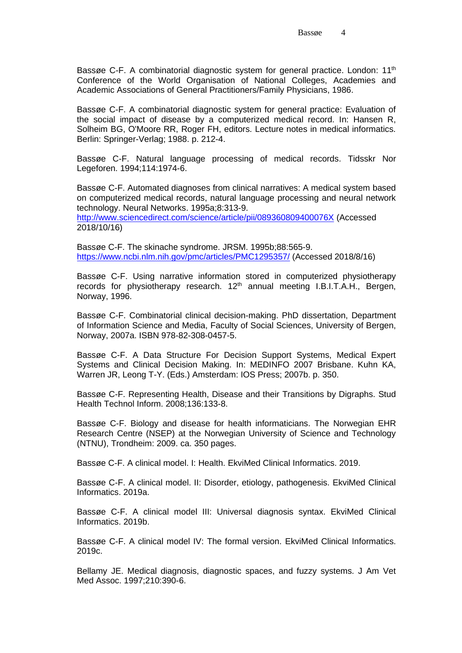Bassøe C-F. A combinatorial diagnostic system for general practice. London: 11<sup>th</sup> Conference of the World Organisation of National Colleges, Academies and Academic Associations of General Practitioners/Family Physicians, 1986.

Bassøe C-F. A combinatorial diagnostic system for general practice: Evaluation of the social impact of disease by a computerized medical record. In: Hansen R, Solheim BG, O'Moore RR, Roger FH, editors. Lecture notes in medical informatics. Berlin: Springer-Verlag; 1988. p. 212-4.

Bassøe C-F. Natural language processing of medical records. Tidsskr Nor Legeforen. 1994;114:1974-6.

Bassøe C-F. Automated diagnoses from clinical narratives: A medical system based on computerized medical records, natural language processing and neural network technology. Neural Networks. 1995a;8:313-9.

<http://www.sciencedirect.com/science/article/pii/089360809400076X> (Accessed 2018/10/16)

Bassøe C-F. The skinache syndrome. JRSM. 1995b;88:565-9. <https://www.ncbi.nlm.nih.gov/pmc/articles/PMC1295357/> (Accessed 2018/8/16)

Bassøe C-F. Using narrative information stored in computerized physiotherapy records for physiotherapy research. 12<sup>th</sup> annual meeting I.B.I.T.A.H., Bergen, Norway, 1996.

Bassøe C-F. Combinatorial clinical decision-making. PhD dissertation, Department of Information Science and Media, Faculty of Social Sciences, University of Bergen, Norway, 2007a. ISBN 978-82-308-0457-5.

Bassøe C-F. A Data Structure For Decision Support Systems, Medical Expert Systems and Clinical Decision Making. In: MEDINFO 2007 Brisbane. Kuhn KA, Warren JR, Leong T-Y. (Eds.) Amsterdam: IOS Press; 2007b. p. 350.

Bassøe C-F. Representing Health, Disease and their Transitions by Digraphs. Stud Health Technol Inform. 2008;136:133-8.

Bassøe C-F. Biology and disease for health informaticians. The Norwegian EHR Research Centre (NSEP) at the Norwegian University of Science and Technology (NTNU), Trondheim: 2009. ca. 350 pages.

Bassøe C-F. A clinical model. I: Health. EkviMed Clinical Informatics. 2019.

Bassøe C-F. A clinical model. II: Disorder, etiology, pathogenesis. EkviMed Clinical Informatics. 2019a.

Bassøe C-F. A clinical model III: Universal diagnosis syntax. EkviMed Clinical Informatics. 2019b.

Bassøe C-F. A clinical model IV: The formal version. EkviMed Clinical Informatics. 2019c.

Bellamy JE. Medical diagnosis, diagnostic spaces, and fuzzy systems. J Am Vet Med Assoc. 1997;210:390-6.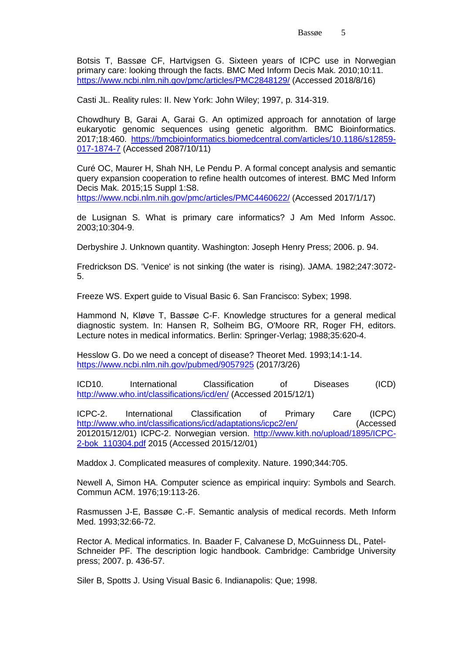Botsis T, Bassøe CF, Hartvigsen G. Sixteen years of ICPC use in Norwegian primary care: looking through the facts. BMC Med Inform Decis Mak. 2010;10:11. <https://www.ncbi.nlm.nih.gov/pmc/articles/PMC2848129/> (Accessed 2018/8/16)

Casti JL. Reality rules: II. New York: John Wiley; 1997, p. 314-319.

Chowdhury B, Garai A, Garai G. An optimized approach for annotation of large eukaryotic genomic sequences using genetic algorithm. BMC Bioinformatics. 2017;18:460. [https://bmcbioinformatics.biomedcentral.com/articles/10.1186/s12859-](https://bmcbioinformatics.biomedcentral.com/articles/10.1186/s12859-017-1874-7) [017-1874-7](https://bmcbioinformatics.biomedcentral.com/articles/10.1186/s12859-017-1874-7) (Accessed 2087/10/11)

Curé OC, Maurer H, Shah NH, Le Pendu P. A formal concept analysis and semantic query expansion cooperation to refine health outcomes of interest. BMC Med Inform Decis Mak. 2015;15 Suppl 1:S8.

<https://www.ncbi.nlm.nih.gov/pmc/articles/PMC4460622/> (Accessed 2017/1/17)

de Lusignan S. What is primary care informatics? J Am Med Inform Assoc. 2003;10:304-9.

Derbyshire J. Unknown quantity. Washington: Joseph Henry Press; 2006. p. 94.

Fredrickson DS. 'Venice' is not sinking (the water is rising). JAMA. 1982;247:3072- 5.

Freeze WS. Expert guide to Visual Basic 6. San Francisco: Sybex; 1998.

Hammond N, Kløve T, Bassøe C-F. Knowledge structures for a general medical diagnostic system. In: Hansen R, Solheim BG, O'Moore RR, Roger FH, editors. Lecture notes in medical informatics. Berlin: Springer-Verlag; 1988;35:620-4.

Hesslow G. Do we need a concept of disease? Theoret Med. 1993;14:1-14. <https://www.ncbi.nlm.nih.gov/pubmed/9057925> (2017/3/26)

ICD10. International Classification of Diseases (ICD) <http://www.who.int/classifications/icd/en/> (Accessed 2015/12/1)

ICPC-2. International Classification of Primary Care (ICPC) <http://www.who.int/classifications/icd/adaptations/icpc2/en/> (Accessed 2012015/12/01) ICPC-2. Norwegian version. [http://www.kith.no/upload/1895/ICPC-](http://www.kith.no/upload/1895/ICPC-2-bok_110304.pdf)[2-bok\\_110304.pdf](http://www.kith.no/upload/1895/ICPC-2-bok_110304.pdf) 2015 (Accessed 2015/12/01)

Maddox J. Complicated measures of complexity. Nature. 1990;344:705.

Newell A, Simon HA. Computer science as empirical inquiry: Symbols and Search. Commun ACM. 1976;19:113-26.

Rasmussen J-E, Bassøe C.-F. Semantic analysis of medical records. Meth Inform Med. 1993;32:66-72.

Rector A. Medical informatics. In. Baader F, Calvanese D, McGuinness DL, Patel-Schneider PF. The description logic handbook. Cambridge: Cambridge University press; 2007. p. 436-57.

Siler B, Spotts J. Using Visual Basic 6. Indianapolis: Que; 1998.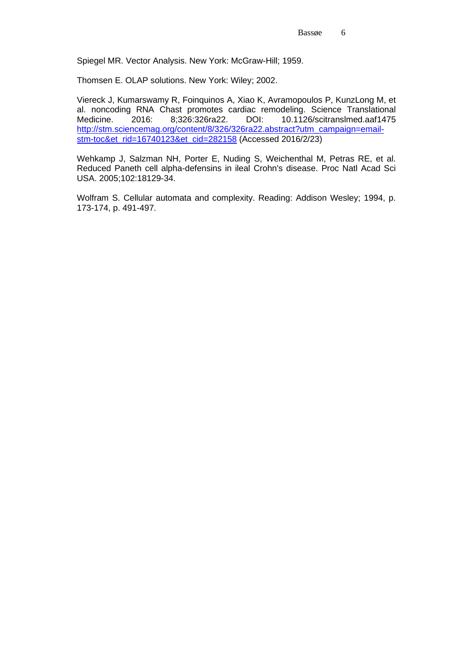Spiegel MR. Vector Analysis. New York: McGraw-Hill; 1959.

Thomsen E. OLAP solutions. New York: Wiley; 2002.

Viereck J, Kumarswamy R, Foinquinos A, Xiao K, Avramopoulos P, KunzLong M, et al. noncoding RNA Chast promotes cardiac remodeling. Science Translational Medicine. 2016: 8;326:326ra22. DOI: 10.1126/scitranslmed.aaf1475 [http://stm.sciencemag.org/content/8/326/326ra22.abstract?utm\\_campaign=email](http://stm.sciencemag.org/content/8/326/326ra22.abstract?utm_campaign=email-stm-toc&et_rid=16740123&et_cid=282158)[stm-toc&et\\_rid=16740123&et\\_cid=282158](http://stm.sciencemag.org/content/8/326/326ra22.abstract?utm_campaign=email-stm-toc&et_rid=16740123&et_cid=282158) (Accessed 2016/2/23)

Wehkamp J, Salzman NH, Porter E, Nuding S, Weichenthal M, Petras RE, et al. Reduced Paneth cell alpha-defensins in ileal Crohn's disease. Proc Natl Acad Sci USA. 2005;102:18129-34.

Wolfram S. Cellular automata and complexity. Reading: Addison Wesley; 1994, p. 173-174, p. 491-497.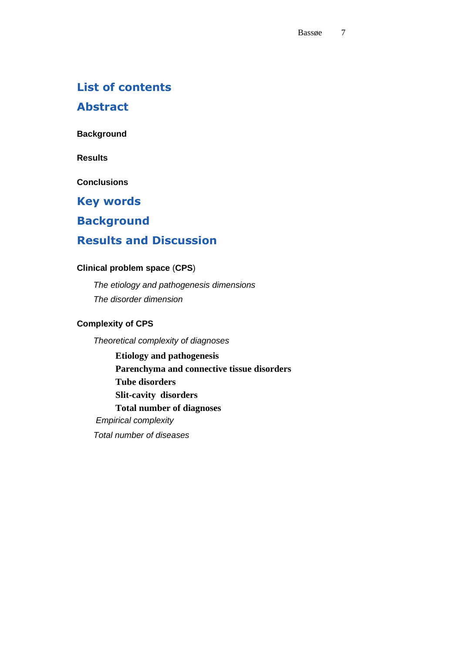### **List of contents**

**Abstract**

**Background**

**Results**

**Conclusions**

**Key words** 

**Background**

# **Results and Discussion**

### **Clinical problem space** (**CPS**)

*The etiology and pathogenesis dimensions The disorder dimension*

### **Complexity of CPS**

*Theoretical complexity of diagnoses* **Etiology and pathogenesis Parenchyma and connective tissue disorders Tube disorders Slit-cavity disorders Total number of diagnoses** *Empirical complexity Total number of diseases*